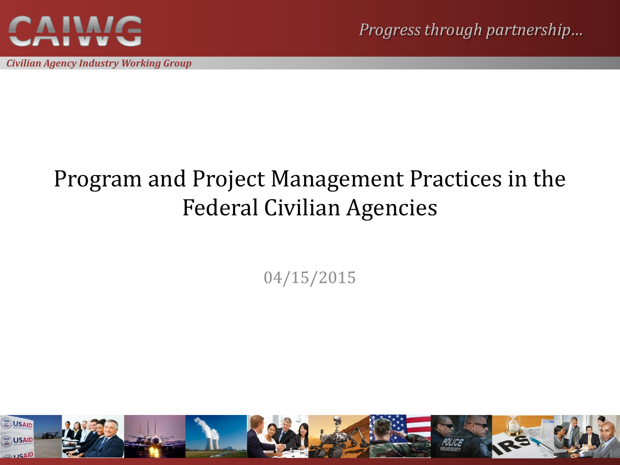

*Civilian Agency Industry Working Group*

*Progress throu[gh partn](http://www.sodahead.com/united-states/who-had-the-worst-political-sex-scandal-of-the-decade/question-1414433/)ership…*

#### Program and Project Management Practices in the Federal Civilian Agencies

04/15/2015

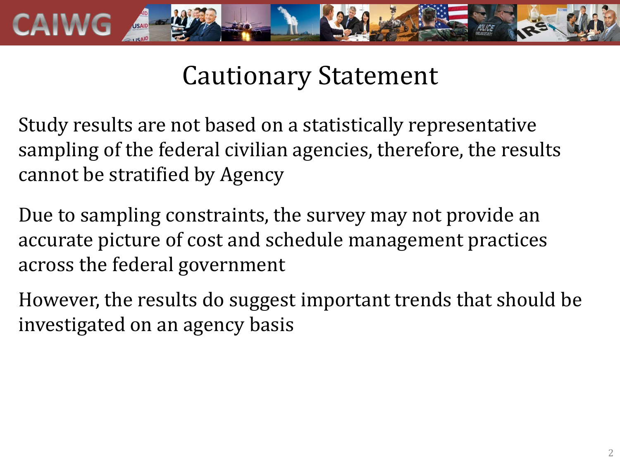

## Cautionary Statement

Study results are not based on a statistically representative sampling of the federal civilian agencies, therefore, the results cannot be stratified by Agency

Due to sampling constraints, the survey may not provide an accurate picture of cost and schedule management practices across the federal government

However, the results do suggest important trends that should be investigated on an agency basis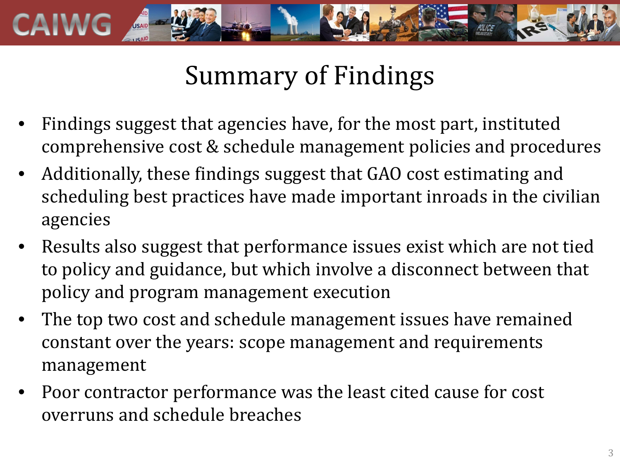

## Summary of Findings

- Findings suggest that agencies have, for the most part, instituted comprehensive cost & schedule management policies and procedures
- Additionally, these findings suggest that GAO cost estimating and scheduling best practices have made important inroads in the civilian agencies
- Results also suggest that performance issues exist which are not tied to policy and guidance, but which involve a disconnect between that policy and program management execution
- The top two cost and schedule management issues have remained constant over the years: scope management and requirements management
- Poor contractor performance was the least cited cause for cost overruns and schedule breaches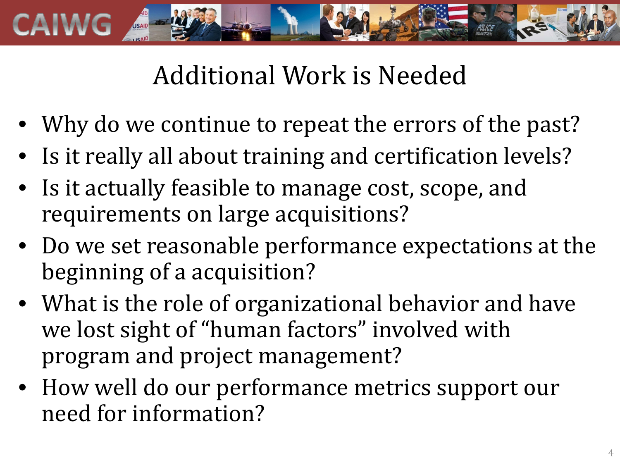

# Additional Work is Needed

- Why do we continue to repeat the errors of the past?
- Is it really all about training and certification levels?
- Is it actually feasible to manage cost, scope, and requirements on large acquisitions?
- Do we set reasonable performance expectations at the beginning of a acquisition?
- What is the role of organizational behavior and have we lost sight of "human factors" involved with program and project management?
- How well do our performance metrics support our need for information?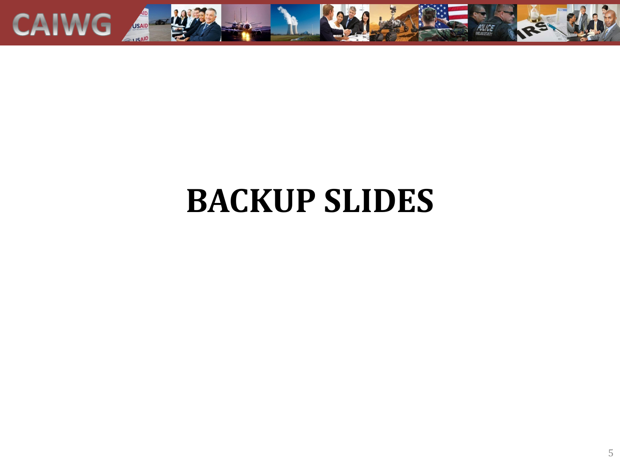

# **BACKUP SLIDES**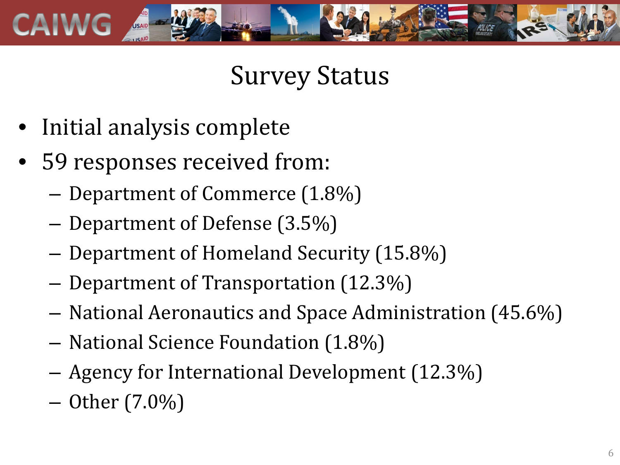

### Survey Status

- Initial analysis complete
- 59 responses received from:
	- Department of Commerce (1.8%)
	- Department of Defense (3.5%)
	- Department of Homeland Security (15.8%)
	- Department of Transportation (12.3%)
	- National Aeronautics and Space Administration (45.6%)
	- National Science Foundation (1.8%)
	- Agency for International Development (12.3%)
	- Other (7.0%)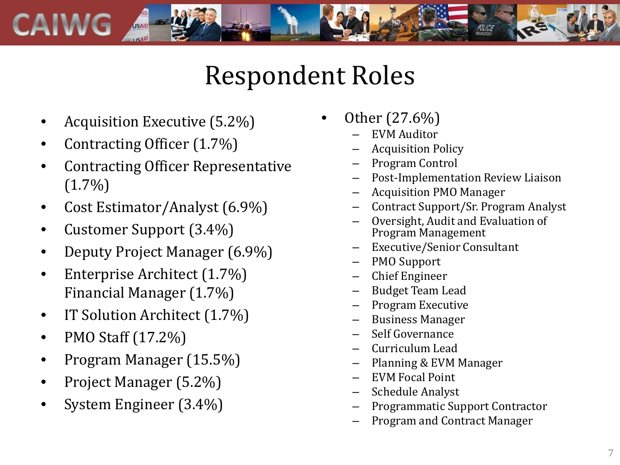

#### Respondent Roles

- Acquisition Executive (5.2%)
- Contracting Officer (1.7%)
- Contracting Officer Representative  $(1.7\%)$
- Cost Estimator/Analyst (6.9%)
- Customer Support (3.4%)
- Deputy Project Manager (6.9%)
- Enterprise Architect (1.7%) Financial Manager (1.7%)
- IT Solution Architect (1.7%)
- PMO Staff (17.2%)
- Program Manager (15.5%)
- Project Manager (5.2%)
- System Engineer (3.4%)
- Other  $(27.6\%)$ <br>- EVM Auditor
	-
	- Acquisition Policy
	- Program Control
	- Post-Implementation Review Liaison
	- Acquisition PMO Manager
	- Contract Support/Sr. Program Analyst
	- Oversight, Audit and Evaluation of Program Management
	- Executive/Senior Consultant
	- PMO Support
	- Chief Engineer
	- Budget Team Lead
	- Program Executive
	- Business Manager
	- Self Governance
	- Curriculum Lead
	- Planning & EVM Manager
	- EVM Focal Point
	- Schedule Analyst
	- Programmatic Support Contractor
	- Program and Contract Manager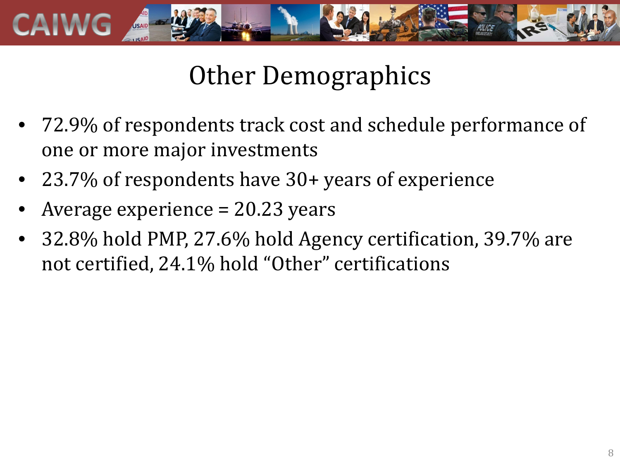

# Other Demographics

- 72.9% of respondents track cost and schedule performance of one or more major investments
- 23.7% of respondents have 30+ years of experience
- Average experience = 20.23 years
- 32.8% hold PMP, 27.6% hold Agency certification, 39.7% are not certified, 24.1% hold "Other" certifications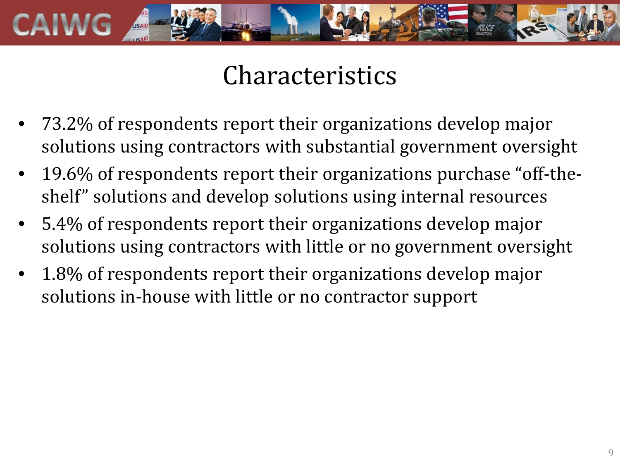

#### **Characteristics**

- 73.2% of respondents report their organizations develop major solutions using contractors with substantial government oversight
- 19.6% of respondents report their organizations purchase "off-theshelf" solutions and develop solutions using internal resources
- 5.4% of respondents report their organizations develop major solutions using contractors with little or no government oversight
- 1.8% of respondents report their organizations develop major solutions in-house with little or no contractor support